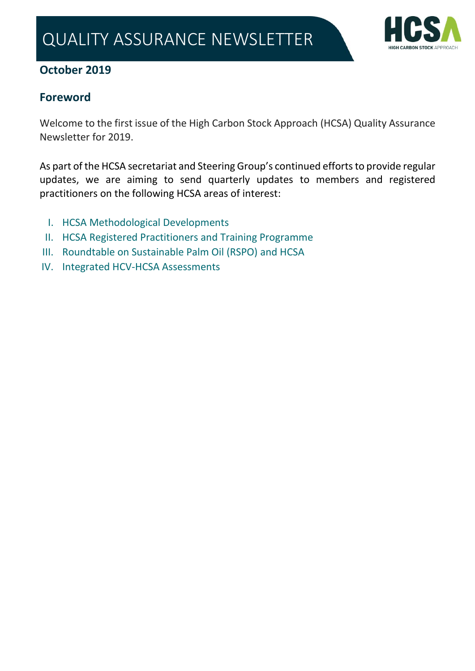

## **October 2019**

# **Foreword**

Welcome to the first issue of the High Carbon Stock Approach (HCSA) Quality Assurance Newsletter for 2019.

As part of the HCSA secretariat and Steering Group's continued efforts to provide regular updates, we are aiming to send quarterly updates to members and registered practitioners on the following HCSA areas of interest:

- I. [HCSA Methodological Developments](#page-1-0)
- II. [HCSA Registered Practitioners and Training Programme](#page-2-0)
- III. [Roundtable on Sustainable Palm Oil \(RSPO\)](#page-3-0) and HCSA
- IV. [Integrated HCV-HCSA Assessments](#page-5-0)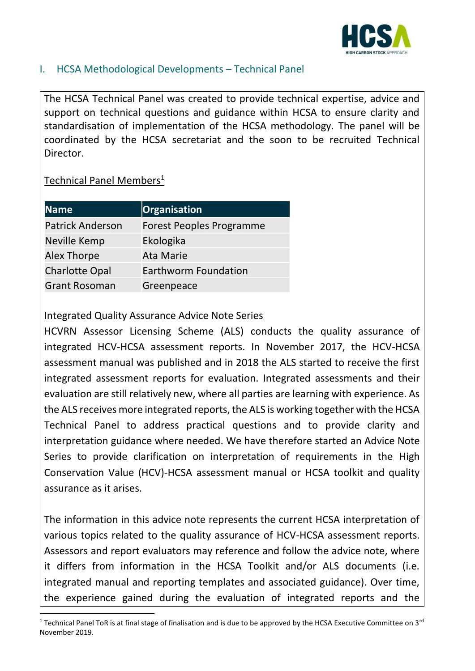

### <span id="page-1-0"></span>I. HCSA Methodological Developments – Technical Panel

The HCSA Technical Panel was created to provide technical expertise, advice and support on technical questions and guidance within HCSA to ensure clarity and standardisation of implementation of the HCSA methodology. The panel will be coordinated by the HCSA secretariat and the soon to be recruited Technical Director.

## Technical Panel Members<sup>1</sup>

| <b>Name</b>             | Organisation                |
|-------------------------|-----------------------------|
| <b>Patrick Anderson</b> | Forest Peoples Programme    |
| Neville Kemp            | Ekologika                   |
| <b>Alex Thorpe</b>      | <b>Ata Marie</b>            |
| <b>Charlotte Opal</b>   | <b>Earthworm Foundation</b> |
| <b>Grant Rosoman</b>    | Greenpeace                  |

#### Integrated Quality Assurance Advice Note Series

HCVRN Assessor Licensing Scheme (ALS) conducts the quality assurance of integrated HCV-HCSA assessment reports. In November 2017, the HCV-HCSA assessment manual was published and in 2018 the ALS started to receive the first integrated assessment reports for evaluation. Integrated assessments and their evaluation are still relatively new, where all parties are learning with experience. As the ALS receives more integrated reports, the ALS is working together with the HCSA Technical Panel to address practical questions and to provide clarity and interpretation guidance where needed. We have therefore started an Advice Note Series to provide clarification on interpretation of requirements in the High Conservation Value (HCV)-HCSA assessment manual or HCSA toolkit and quality assurance as it arises.

The information in this advice note represents the current HCSA interpretation of various topics related to the quality assurance of HCV-HCSA assessment reports. Assessors and report evaluators may reference and follow the advice note, where it differs from information in the HCSA Toolkit and/or ALS documents (i.e. integrated manual and reporting templates and associated guidance). Over time, the experience gained during the evaluation of integrated reports and the

<sup>&</sup>lt;sup>1</sup> Technical Panel ToR is at final stage of finalisation and is due to be approved by the HCSA Executive Committee on  $3^{rd}$ November 2019.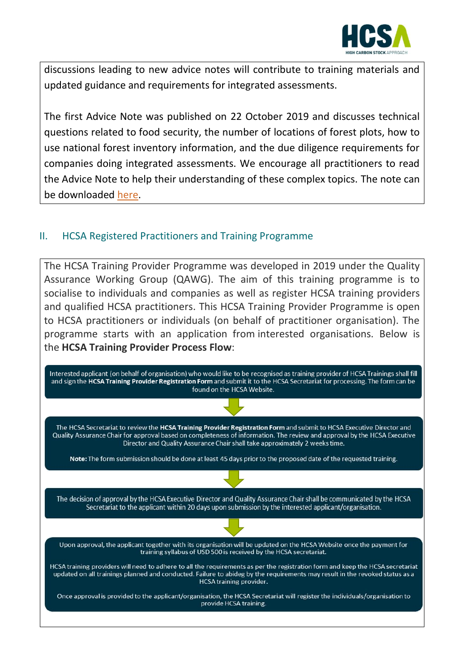

discussions leading to new advice notes will contribute to training materials and updated guidance and requirements for integrated assessments.

The first Advice Note was published on 22 October 2019 and discusses technical questions related to food security, the number of locations of forest plots, how to use national forest inventory information, and the due diligence requirements for companies doing integrated assessments. We encourage all practitioners to read the Advice Note to help their understanding of these complex topics. The note can be downloaded [here.](http://highcarbonstock.org/wp-content/uploads/2019/10/Advice-Note-01-HCV-HCSA-Assessments.pdf)

#### <span id="page-2-0"></span>II. HCSA Registered Practitioners and Training Programme

The HCSA Training Provider Programme was developed in 2019 under the Quality Assurance Working Group (QAWG). The aim of this training programme is to socialise to individuals and companies as well as register HCSA training providers and qualified HCSA practitioners. This HCSA Training Provider Programme is open to HCSA practitioners or individuals (on behalf of practitioner organisation). The programme starts with an application from interested organisations. Below is the **HCSA Training Provider Process Flow**:

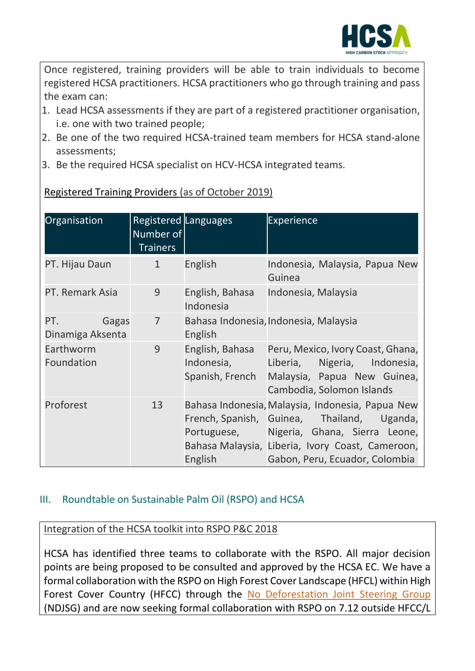

Once registered, training providers will be able to train individuals to become registered HCSA practitioners. HCSA practitioners who go through training and pass the exam can:

- 1. Lead HCSA assessments if they are part of a registered practitioner organisation, i.e. one with two trained people;
- 2. Be one of the two required HCSA-trained team members for HCSA stand-alone assessments;
- 3. Be the required HCSA specialist on HCV-HCSA integrated teams.

| Organisation                     | Registered Languages<br>Number of<br><b>Trainers</b> |                                                  | <b>Experience</b>                                                                                                                                                                                                                 |
|----------------------------------|------------------------------------------------------|--------------------------------------------------|-----------------------------------------------------------------------------------------------------------------------------------------------------------------------------------------------------------------------------------|
| PT. Hijau Daun                   | $\mathbf{1}$                                         | English                                          | Indonesia, Malaysia, Papua New<br>Guinea                                                                                                                                                                                          |
| PT. Remark Asia                  | 9                                                    | English, Bahasa<br>Indonesia                     | Indonesia, Malaysia                                                                                                                                                                                                               |
| PT.<br>Gagas<br>Dinamiga Aksenta | $\overline{7}$                                       | <b>English</b>                                   | Bahasa Indonesia, Indonesia, Malaysia                                                                                                                                                                                             |
| Earthworm<br>Foundation          | 9                                                    | English, Bahasa<br>Indonesia,<br>Spanish, French | Peru, Mexico, Ivory Coast, Ghana,<br>Liberia, Nigeria, Indonesia,<br>Malaysia, Papua New Guinea,<br>Cambodia, Solomon Islands                                                                                                     |
| Proforest                        | 13                                                   | English                                          | Bahasa Indonesia, Malaysia, Indonesia, Papua New<br>French, Spanish, Guinea, Thailand, Uganda,<br>Portuguese, Nigeria, Ghana, Sierra Leone,<br>Bahasa Malaysia, Liberia, Ivory Coast, Cameroon,<br>Gabon, Peru, Ecuador, Colombia |

[Registered Training Providers](http://highcarbonstock.org/hcsa-training-providers/) (as of October 2019)

## <span id="page-3-0"></span>III. Roundtable on Sustainable Palm Oil (RSPO) and HCSA

Integration of the HCSA toolkit into RSPO P&C 2018

HCSA has identified three teams to collaborate with the RSPO. All major decision points are being proposed to be consulted and approved by the HCSA EC. We have a formal collaboration with the RSPO on High Forest Cover Landscape (HFCL) within High Forest Cover Country (HFCC) through the [No Deforestation Joint Steering Group](http://highcarbonstock.org/rspo-and-hcsa-collaborate-to-implement-no-deforestation-in-high-forest-cover-landscapes/)  (NDJSG) and are now seeking formal collaboration with RSPO on 7.12 outside HFCC/L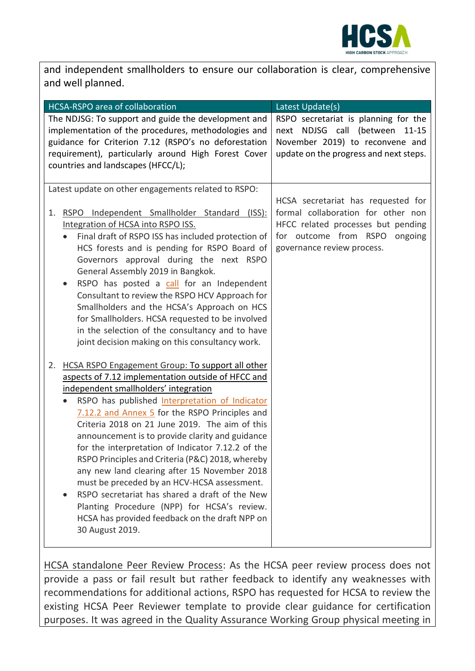

and independent smallholders to ensure our collaboration is clear, comprehensive and well planned.

| HCSA-RSPO area of collaboration                        | Latest Update(s)                       |
|--------------------------------------------------------|----------------------------------------|
| The NDJSG: To support and guide the development and    | RSPO secretariat is planning for the   |
| implementation of the procedures, methodologies and    | next NDJSG call (between 11-15         |
| guidance for Criterion 7.12 (RSPO's no deforestation   | November 2019) to reconvene and        |
| requirement), particularly around High Forest Cover    | update on the progress and next steps. |
| countries and landscapes (HFCC/L);                     |                                        |
|                                                        |                                        |
| Latest update on other engagements related to RSPO:    | HCSA secretariat has requested for     |
| RSPO Independent Smallholder Standard (ISS):<br>1.     | formal collaboration for other non     |
| Integration of HCSA into RSPO ISS.                     | HFCC related processes but pending     |
| Final draft of RSPO ISS has included protection of     | for outcome from RSPO<br>ongoing       |
| HCS forests and is pending for RSPO Board of           | governance review process.             |
| Governors approval during the next RSPO                |                                        |
| General Assembly 2019 in Bangkok.                      |                                        |
| RSPO has posted a call for an Independent              |                                        |
| Consultant to review the RSPO HCV Approach for         |                                        |
| Smallholders and the HCSA's Approach on HCS            |                                        |
| for Smallholders. HCSA requested to be involved        |                                        |
| in the selection of the consultancy and to have        |                                        |
| joint decision making on this consultancy work.        |                                        |
| HCSA RSPO Engagement Group: To support all other<br>2. |                                        |
| aspects of 7.12 implementation outside of HFCC and     |                                        |
| independent smallholders' integration                  |                                        |
| RSPO has published Interpretation of Indicator         |                                        |
| 7.12.2 and Annex 5 for the RSPO Principles and         |                                        |
| Criteria 2018 on 21 June 2019. The aim of this         |                                        |
| announcement is to provide clarity and guidance        |                                        |
| for the interpretation of Indicator 7.12.2 of the      |                                        |
| RSPO Principles and Criteria (P&C) 2018, whereby       |                                        |
| any new land clearing after 15 November 2018           |                                        |
| must be preceded by an HCV-HCSA assessment.            |                                        |
| RSPO secretariat has shared a draft of the New         |                                        |
| Planting Procedure (NPP) for HCSA's review.            |                                        |
| HCSA has provided feedback on the draft NPP on         |                                        |
| 30 August 2019.                                        |                                        |
|                                                        |                                        |

HCSA standalone Peer Review Process: As the HCSA peer review process does not provide a pass or fail result but rather feedback to identify any weaknesses with recommendations for additional actions, RSPO has requested for HCSA to review the existing HCSA Peer Reviewer template to provide clear guidance for certification purposes. It was agreed in the Quality Assurance Working Group physical meeting in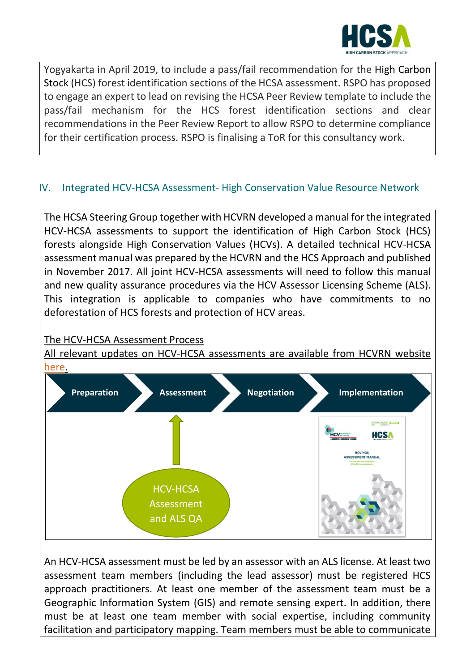

Yogyakarta in April 2019, to include a pass/fail recommendation for the High Carbon Stock (HCS) forest identification sections of the HCSA assessment. RSPO has proposed to engage an expert to lead on revising the HCSA Peer Review template to include the pass/fail mechanism for the HCS forest identification sections and clear recommendations in the Peer Review Report to allow RSPO to determine compliance for their certification process. RSPO is finalising a ToR for this consultancy work.

### <span id="page-5-0"></span>IV. Integrated HCV-HCSA Assessment- High Conservation Value Resource Network

The HCSA Steering Group together with HCVRN developed a manual for the integrated HCV-HCSA assessments to support the identification of High Carbon Stock (HCS) forests alongside High Conservation Values (HCVs). A detailed technical HCV-HCSA assessment manual was prepared by the HCVRN and the HCS Approach and published in November 2017. All joint HCV-HCSA assessments will need to follow this manual and new quality assurance procedures via the HCV Assessor Licensing Scheme (ALS). This integration is applicable to companies who have commitments to no deforestation of HCS forests and protection of HCV areas.

#### The HCV-HCSA Assessment Process

All relevant updates on HCV-HCSA assessments are available from HCVRN website [here.](https://hcvnetwork.org/category/hcv-hcsa/)



An HCV-HCSA assessment must be led by an assessor with an ALS license. At least two assessment team members (including the lead assessor) must be registered HCS approach practitioners. At least one member of the assessment team must be a Geographic Information System (GIS) and remote sensing expert. In addition, there must be at least one team member with social expertise, including community facilitation and participatory mapping. Team members must be able to communicate